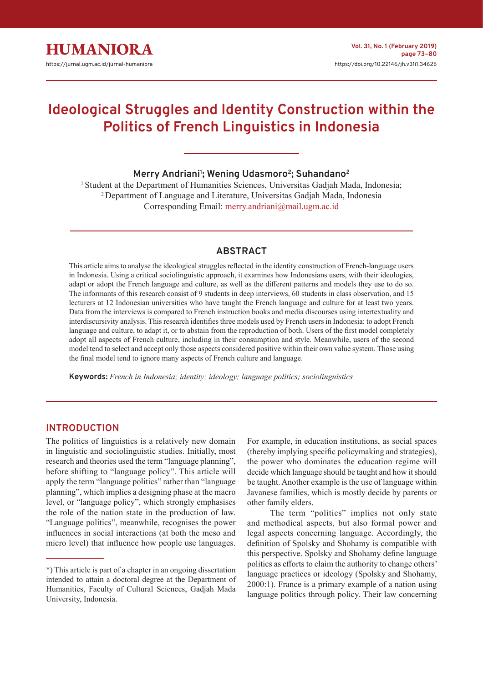

# **Ideological Struggles and Identity Construction within the Politics of French Linguistics in Indonesia**

# **Merry Andriani1 ; Wening Udasmoro2; Suhandano2**

<sup>1</sup> Student at the Department of Humanities Sciences, Universitas Gadjah Mada, Indonesia; 2 Department of Language and Literature, Universitas Gadjah Mada, Indonesia Corresponding Email: [merry.andriani@mail.ugm.ac.id](mailto:merry.andriani%40mail.ugm.ac.id?subject=)

# **ABSTRACT**

This article aims to analyse the ideological struggles reflected in the identity construction of French-language users in Indonesia. Using a critical sociolinguistic approach, it examines how Indonesians users, with their ideologies, adapt or adopt the French language and culture, as well as the different patterns and models they use to do so. The informants of this research consist of 9 students in deep interviews, 60 students in class observation, and 15 lecturers at 12 Indonesian universities who have taught the French language and culture for at least two years. Data from the interviews is compared to French instruction books and media discourses using intertextuality and interdiscursivity analysis. This research identifies three models used by French users in Indonesia: to adopt French language and culture, to adapt it, or to abstain from the reproduction of both. Users of the first model completely adopt all aspects of French culture, including in their consumption and style. Meanwhile, users of the second model tend to select and accept only those aspects considered positive within their own value system. Those using the final model tend to ignore many aspects of French culture and language.

**Keywords:** *French in Indonesia; identity; ideology; language politics; sociolinguistics*

## **INTRODUCTION**

The politics of linguistics is a relatively new domain in linguistic and sociolinguistic studies. Initially, most research and theories used the term "language planning", before shifting to "language policy". This article will apply the term "language politics" rather than "language planning", which implies a designing phase at the macro level, or "language policy", which strongly emphasises the role of the nation state in the production of law. "Language politics", meanwhile, recognises the power influences in social interactions (at both the meso and micro level) that influence how people use languages.

For example, in education institutions, as social spaces (thereby implying specific policymaking and strategies), the power who dominates the education regime will decide which language should be taught and how it should be taught. Another example is the use of language within Javanese families, which is mostly decide by parents or other family elders.

The term "politics" implies not only state and methodical aspects, but also formal power and legal aspects concerning language. Accordingly, the definition of Spolsky and Shohamy is compatible with this perspective. Spolsky and Shohamy define language politics as efforts to claim the authority to change others' language practices or ideology (Spolsky and Shohamy, 2000:1). France is a primary example of a nation using language politics through policy. Their law concerning

<sup>\*)</sup> This article is part of a chapter in an ongoing dissertation intended to attain a doctoral degree at the Department of Humanities, Faculty of Cultural Sciences, Gadjah Mada University, Indonesia.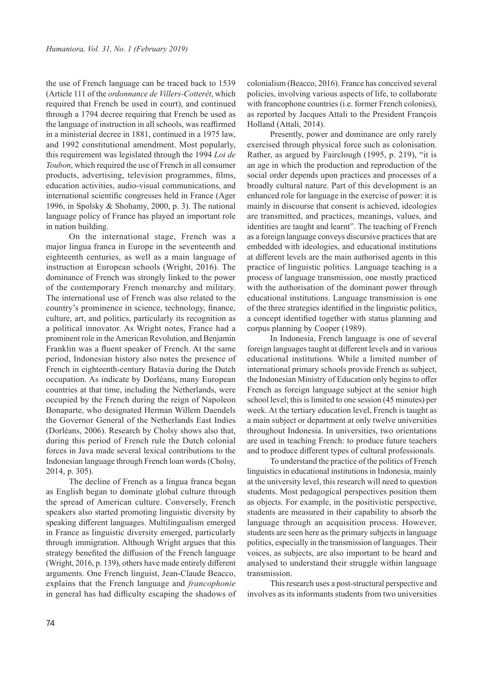the use of French language can be traced back to 1539 (Article 111 of the *ordonnance de Villers-Cotterêt*, which required that French be used in court), and continued through a 1794 decree requiring that French be used as the language of instruction in all schools, was reaffirmed in a ministerial decree in 1881, continued in a 1975 law, and 1992 constitutional amendment. Most popularly, this requirement was legislated through the 1994 *Loi de Toubon*, which required the use of French in all consumer products, advertising, television programmes, films, education activities, audio-visual communications, and international scientific congresses held in France (Ager 1996, in Spolsky & Shohamy, 2000, p. 3). The national language policy of France has played an important role in nation building.

On the international stage, French was a major lingua franca in Europe in the seventeenth and eighteenth centuries, as well as a main language of instruction at European schools (Wright, 2016). The dominance of French was strongly linked to the power of the contemporary French monarchy and military. The international use of French was also related to the country's prominence in science, technology, finance, culture, art, and politics, particularly its recognition as a political innovator. As Wright notes, France had a prominent role in the American Revolution, and Benjamin Franklin was a fluent speaker of French. At the same period, Indonesian history also notes the presence of French in eighteenth-century Batavia during the Dutch occupation. As indicate by Dorléans, many European countries at that time, including the Netherlands, were occupied by the French during the reign of Napoleon Bonaparte, who designated Herman Willem Daendels the Governor General of the Netherlands East Indies (Dorléans, 2006). Research by Cholsy shows also that, during this period of French rule the Dutch colonial forces in Java made several lexical contributions to the Indonesian language through French loan words (Cholsy, 2014, p. 305).

The decline of French as a lingua franca began as English began to dominate global culture through the spread of American culture. Conversely, French speakers also started promoting linguistic diversity by speaking different languages. Multilingualism emerged in France as linguistic diversity emerged, particularly through immigration. Although Wright argues that this strategy benefited the diffusion of the French language (Wright, 2016, p. 139), others have made entirely different arguments. One French linguist, Jean-Claude Beacco, explains that the French language and *francophonie* in general has had difficulty escaping the shadows of colonialism (Beacco, 2016). France has conceived several policies, involving various aspects of life, to collaborate with francophone countries (i.e. former French colonies), as reported by Jacques Attali to the President François Holland (Attali, 2014).

Presently, power and dominance are only rarely exercised through physical force such as colonisation. Rather, as argued by Fairclough (1995, p. 219), "it is an age in which the production and reproduction of the social order depends upon practices and processes of a broadly cultural nature. Part of this development is an enhanced role for language in the exercise of power: it is mainly in discourse that consent is achieved, ideologies are transmitted, and practices, meanings, values, and identities are taught and learnt". The teaching of French as a foreign language conveys discursive practices that are embedded with ideologies, and educational institutions at different levels are the main authorised agents in this practice of linguistic politics. Language teaching is a process of language transmission, one mostly practiced with the authorisation of the dominant power through educational institutions. Language transmission is one of the three strategies identified in the linguistic politics, a concept identified together with status planning and corpus planning by Cooper (1989).

In Indonesia, French language is one of several foreign languages taught at different levels and in various educational institutions. While a limited number of international primary schools provide French as subject, the Indonesian Ministry of Education only begins to offer French as foreign language subject at the senior high school level; this is limited to one session (45 minutes) per week. At the tertiary education level, French is taught as a main subject or department at only twelve universities throughout Indonesia. In universities, two orientations are used in teaching French: to produce future teachers and to produce different types of cultural professionals.

To understand the practice of the politics of French linguistics in educational institutions in Indonesia, mainly at the university level, this research will need to question students. Most pedagogical perspectives position them as objects. For example, in the positivistic perspective, students are measured in their capability to absorb the language through an acquisition process. However, students are seen here as the primary subjects in language politics, especially in the transmission of languages. Their voices, as subjects, are also important to be heard and analysed to understand their struggle within language transmission.

This research uses a post-structural perspective and involves as its informants students from two universities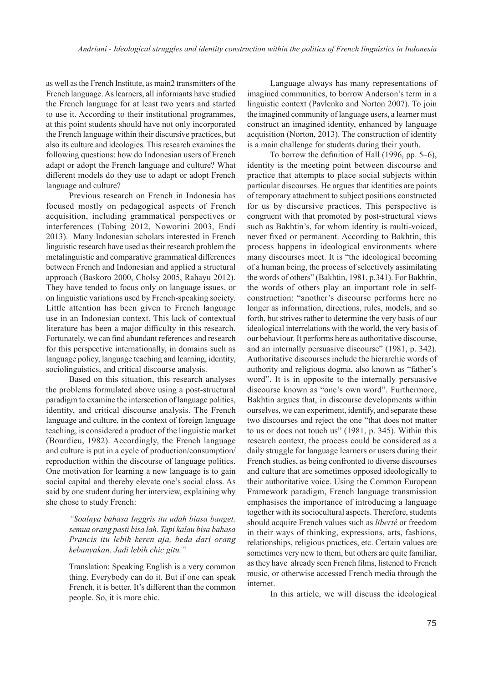as well as the French Institute, as main2 transmitters of the French language. As learners, all informants have studied the French language for at least two years and started to use it. According to their institutional programmes, at this point students should have not only incorporated the French language within their discursive practices, but also its culture and ideologies. This research examines the following questions: how do Indonesian users of French adapt or adopt the French language and culture? What different models do they use to adapt or adopt French language and culture?

Previous research on French in Indonesia has focused mostly on pedagogical aspects of French acquisition, including grammatical perspectives or interferences (Tobing 2012, Noworini 2003, Endi 2013). Many Indonesian scholars interested in French linguistic research have used as their research problem the metalinguistic and comparative grammatical differences between French and Indonesian and applied a structural approach (Baskoro 2000, Cholsy 2005, Rahayu 2012). They have tended to focus only on language issues, or on linguistic variations used by French-speaking society. Little attention has been given to French language use in an Indonesian context. This lack of contextual literature has been a major difficulty in this research. Fortunately, we can find abundant references and research for this perspective internationally, in domains such as language policy, language teaching and learning, identity, sociolinguistics, and critical discourse analysis.

Based on this situation, this research analyses the problems formulated above using a post-structural paradigm to examine the intersection of language politics, identity, and critical discourse analysis. The French language and culture, in the context of foreign language teaching, is considered a product of the linguistic market (Bourdieu, 1982). Accordingly, the French language and culture is put in a cycle of production/consumption/ reproduction within the discourse of language politics. One motivation for learning a new language is to gain social capital and thereby elevate one's social class. As said by one student during her interview, explaining why she chose to study French:

> *''Soalnya bahasa Inggris itu udah biasa banget, semua orang pasti bisa lah. Tapi kalau bisa bahasa Prancis itu lebih keren aja, beda dari orang kebanyakan. Jadi lebih chic gitu."*

> Translation: Speaking English is a very common thing. Everybody can do it. But if one can speak French, it is better. It's different than the common people. So, it is more chic.

Language always has many representations of imagined communities, to borrow Anderson's term in a linguistic context (Pavlenko and Norton 2007). To join the imagined community of language users, a learner must construct an imagined identity, enhanced by language acquisition (Norton, 2013). The construction of identity is a main challenge for students during their youth.

To borrow the definition of Hall (1996, pp. 5–6), identity is the meeting point between discourse and practice that attempts to place social subjects within particular discourses. He argues that identities are points of temporary attachment to subject positions constructed for us by discursive practices. This perspective is congruent with that promoted by post-structural views such as Bakhtin's, for whom identity is multi-voiced, never fixed or permanent. According to Bakhtin, this process happens in ideological environments where many discourses meet. It is "the ideological becoming of a human being, the process of selectively assimilating the words of others" (Bakhtin, 1981, p.341). For Bakhtin, the words of others play an important role in selfconstruction: "another's discourse performs here no longer as information, directions, rules, models, and so forth, but strives rather to determine the very basis of our ideological interrelations with the world, the very basis of our behaviour. It performs here as authoritative discourse, and an internally persuasive discourse" (1981, p. 342). Authoritative discourses include the hierarchic words of authority and religious dogma, also known as "father's word". It is in opposite to the internally persuasive discourse known as "one's own word". Furthermore, Bakhtin argues that, in discourse developments within ourselves, we can experiment, identify, and separate these two discourses and reject the one "that does not matter to us or does not touch us" (1981, p. 345). Within this research context, the process could be considered as a daily struggle for language learners or users during their French studies, as being confronted to diverse discourses and culture that are sometimes opposed ideologically to their authoritative voice. Using the Common European Framework paradigm, French language transmission emphasises the importance of introducing a language together with its sociocultural aspects. Therefore, students should acquire French values such as *liberté* or freedom in their ways of thinking, expressions, arts, fashions, relationships, religious practices, etc. Certain values are sometimes very new to them, but others are quite familiar, as they have already seen French films, listened to French music, or otherwise accessed French media through the internet.

In this article, we will discuss the ideological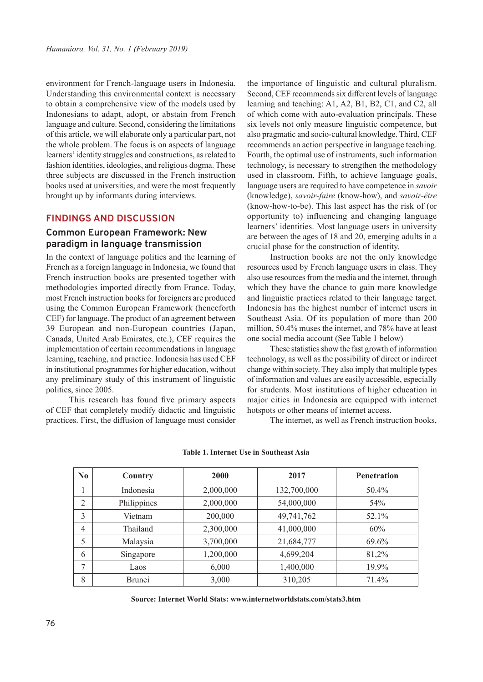environment for French-language users in Indonesia. Understanding this environmental context is necessary to obtain a comprehensive view of the models used by Indonesians to adapt, adopt, or abstain from French language and culture. Second, considering the limitations of this article, we will elaborate only a particular part, not the whole problem. The focus is on aspects of language learners' identity struggles and constructions, as related to fashion identities, ideologies, and religious dogma. These three subjects are discussed in the French instruction books used at universities, and were the most frequently brought up by informants during interviews.

## **FINDINGS AND DISCUSSION**

## **Common European Framework: New paradigm in language transmission**

In the context of language politics and the learning of French as a foreign language in Indonesia, we found that French instruction books are presented together with methodologies imported directly from France. Today, most French instruction books for foreigners are produced using the Common European Framework (henceforth CEF) for language. The product of an agreement between 39 European and non-European countries (Japan, Canada, United Arab Emirates, etc.), CEF requires the implementation of certain recommendations in language learning, teaching, and practice. Indonesia has used CEF in institutional programmes for higher education, without any preliminary study of this instrument of linguistic politics, since 2005.

This research has found five primary aspects of CEF that completely modify didactic and linguistic practices. First, the diffusion of language must consider

the importance of linguistic and cultural pluralism. Second, CEF recommends six different levels of language learning and teaching: A1, A2, B1, B2, C1, and C2, all of which come with auto-evaluation principals. These six levels not only measure linguistic competence, but also pragmatic and socio-cultural knowledge. Third, CEF recommends an action perspective in language teaching. Fourth, the optimal use of instruments, such information technology, is necessary to strengthen the methodology used in classroom. Fifth, to achieve language goals, language users are required to have competence in *savoir* (knowledge), *savoir-faire* (know-how), and *savoir-être* (know-how-to-be). This last aspect has the risk of (or opportunity to) influencing and changing language learners' identities. Most language users in university are between the ages of 18 and 20, emerging adults in a crucial phase for the construction of identity.

Instruction books are not the only knowledge resources used by French language users in class. They also use resources from the media and the internet, through which they have the chance to gain more knowledge and linguistic practices related to their language target. Indonesia has the highest number of internet users in Southeast Asia. Of its population of more than 200 million, 50.4% muses the internet, and 78% have at least one social media account (See Table 1 below)

These statistics show the fast growth of information technology, as well as the possibility of direct or indirect change within society. They also imply that multiple types of information and values are easily accessible, especially for students. Most institutions of higher education in major cities in Indonesia are equipped with internet hotspots or other means of internet access.

The internet, as well as French instruction books,

| $\bf No$       | Country       | 2000      | 2017        | <b>Penetration</b> |
|----------------|---------------|-----------|-------------|--------------------|
| T              | Indonesia     | 2,000,000 | 132,700,000 | 50.4%              |
| $\overline{2}$ | Philippines   | 2,000,000 | 54,000,000  | 54%                |
| 3              | Vietnam       | 200,000   | 49,741,762  | 52.1%              |
| $\overline{4}$ | Thailand      | 2,300,000 | 41,000,000  | 60%                |
| 5              | Malaysia      | 3,700,000 | 21,684,777  | 69.6%              |
| 6              | Singapore     | 1,200,000 | 4,699,204   | 81,2%              |
| 7              | Laos          | 6,000     | 1,400,000   | 19.9%              |
| 8              | <b>Brunei</b> | 3,000     | 310,205     | 71.4%              |

**Table 1. Internet Use in Southeast Asia** 

**Source: Internet World Stats: www.internetworldstats.com/stats3.htm**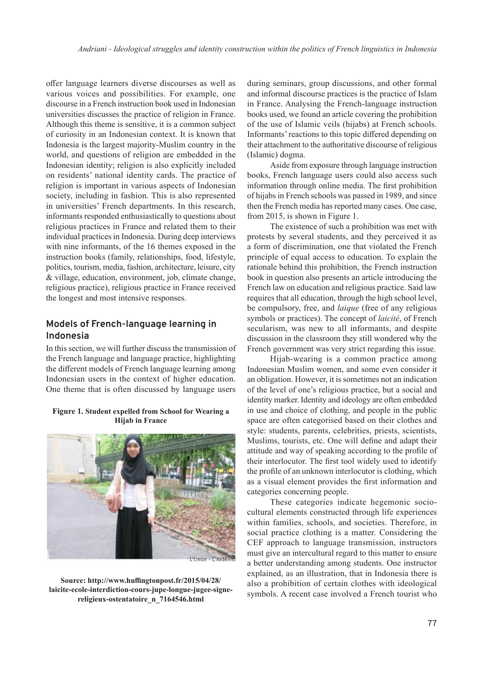offer language learners diverse discourses as well as various voices and possibilities. For example, one discourse in a French instruction book used in Indonesian universities discusses the practice of religion in France. Although this theme is sensitive, it is a common subject of curiosity in an Indonesian context. It is known that Indonesia is the largest majority-Muslim country in the world, and questions of religion are embedded in the Indonesian identity; religion is also explicitly included on residents' national identity cards. The practice of religion is important in various aspects of Indonesian society, including in fashion. This is also represented in universities' French departments. In this research, informants responded enthusiastically to questions about religious practices in France and related them to their individual practices in Indonesia. During deep interviews with nine informants, of the 16 themes exposed in the instruction books (family, relationships, food, lifestyle, politics, tourism, media, fashion, architecture, leisure, city & village, education, environment, job, climate change, religious practice), religious practice in France received the longest and most intensive responses.

# **Models of French-language learning in Indonesia**

In this section, we will further discuss the transmission of the French language and language practice, highlighting the different models of French language learning among Indonesian users in the context of higher education. One theme that is often discussed by language users

#### **Figure 1. Student expelled from School for Wearing a Hijab in France**



**Source: http://www.huffingtonpost.fr/2015/04/28/ laicite-ecole-interdiction-cours-jupe-longue-jugee-signereligieux-ostentatoire\_n\_7164546.html**

during seminars, group discussions, and other formal and informal discourse practices is the practice of Islam in France. Analysing the French-language instruction books used, we found an article covering the prohibition of the use of Islamic veils (hijabs) at French schools. Informants' reactions to this topic differed depending on their attachment to the authoritative discourse of religious (Islamic) dogma.

Aside from exposure through language instruction books, French language users could also access such information through online media. The first prohibition of hijabs in French schools was passed in 1989, and since then the French media has reported many cases. One case, from 2015, is shown in Figure 1.

The existence of such a prohibition was met with protests by several students, and they perceived it as a form of discrimination, one that violated the French principle of equal access to education. To explain the rationale behind this prohibition, the French instruction book in question also presents an article introducing the French law on education and religious practice. Said law requires that all education, through the high school level, be compulsory, free, and *laique* (free of any religious symbols or practices). The concept of *laicité*, of French secularism, was new to all informants, and despite discussion in the classroom they still wondered why the French government was very strict regarding this issue.

Hijab-wearing is a common practice among Indonesian Muslim women, and some even consider it an obligation. However, it is sometimes not an indication of the level of one's religious practice, but a social and identity marker. Identity and ideology are often embedded in use and choice of clothing, and people in the public space are often categorised based on their clothes and style: students, parents, celebrities, priests, scientists, Muslims, tourists, etc. One will define and adapt their attitude and way of speaking according to the profile of their interlocutor. The first tool widely used to identify the profile of an unknown interlocutor is clothing, which as a visual element provides the first information and categories concerning people.

These categories indicate hegemonic sociocultural elements constructed through life experiences within families, schools, and societies. Therefore, in social practice clothing is a matter. Considering the CEF approach to language transmission, instructors must give an intercultural regard to this matter to ensure a better understanding among students. One instructor explained, as an illustration, that in Indonesia there is also a prohibition of certain clothes with ideological symbols. A recent case involved a French tourist who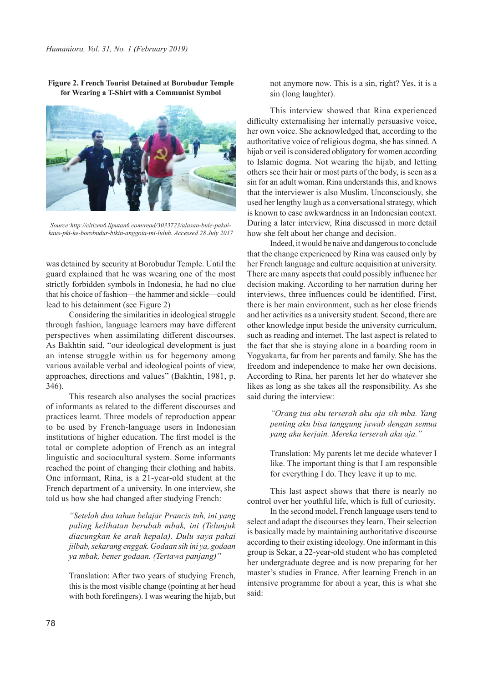

**Figure 2. French Tourist Detained at Borobudur Temple for Wearing a T-Shirt with a Communist Symbol**

*Source:http://citizen6.liputan6.com/read/3033723/alasan-bule-pakaikaus-pki-ke-borobudur-bikin-anggota-tni-luluh. Accessed 28 July 2017*

was detained by security at Borobudur Temple. Until the guard explained that he was wearing one of the most strictly forbidden symbols in Indonesia, he had no clue that his choice of fashion—the hammer and sickle—could lead to his detainment (see Figure 2)

Considering the similarities in ideological struggle through fashion, language learners may have different perspectives when assimilating different discourses. As Bakhtin said, "our ideological development is just an intense struggle within us for hegemony among various available verbal and ideological points of view, approaches, directions and values" (Bakhtin, 1981, p. 346).

This research also analyses the social practices of informants as related to the different discourses and practices learnt. Three models of reproduction appear to be used by French-language users in Indonesian institutions of higher education. The first model is the total or complete adoption of French as an integral linguistic and sociocultural system. Some informants reached the point of changing their clothing and habits. One informant, Rina, is a 21-year-old student at the French department of a university. In one interview, she told us how she had changed after studying French:

> *"Setelah dua tahun belajar Prancis tuh, ini yang paling kelihatan berubah mbak, ini (Telunjuk diacungkan ke arah kepala). Dulu saya pakai jilbab, sekarang enggak. Godaan sih ini ya, godaan ya mbak, bener godaan. (Tertawa panjang)"*

> Translation: After two years of studying French, this is the most visible change (pointing at her head with both forefingers). I was wearing the hijab, but

not anymore now. This is a sin, right? Yes, it is a sin (long laughter).

This interview showed that Rina experienced difficulty externalising her internally persuasive voice, her own voice. She acknowledged that, according to the authoritative voice of religious dogma, she has sinned. A hijab or veil is considered obligatory for women according to Islamic dogma. Not wearing the hijab, and letting others see their hair or most parts of the body, is seen as a sin for an adult woman. Rina understands this, and knows that the interviewer is also Muslim. Unconsciously, she used her lengthy laugh as a conversational strategy, which is known to ease awkwardness in an Indonesian context. During a later interview, Rina discussed in more detail how she felt about her change and decision.

Indeed, it would be naive and dangerous to conclude that the change experienced by Rina was caused only by her French language and culture acquisition at university. There are many aspects that could possibly influence her decision making. According to her narration during her interviews, three influences could be identified. First, there is her main environment, such as her close friends and her activities as a university student. Second, there are other knowledge input beside the university curriculum, such as reading and internet. The last aspect is related to the fact that she is staying alone in a boarding room in Yogyakarta, far from her parents and family. She has the freedom and independence to make her own decisions. According to Rina, her parents let her do whatever she likes as long as she takes all the responsibility. As she said during the interview:

> *"Orang tua aku terserah aku aja sih mba. Yang penting aku bisa tanggung jawab dengan semua yang aku kerjain. Mereka terserah aku aja."*

> Translation: My parents let me decide whatever I like. The important thing is that I am responsible for everything I do. They leave it up to me.

This last aspect shows that there is nearly no control over her youthful life, which is full of curiosity.

In the second model, French language users tend to select and adapt the discourses they learn. Their selection is basically made by maintaining authoritative discourse according to their existing ideology. One informant in this group is Sekar, a 22-year-old student who has completed her undergraduate degree and is now preparing for her master's studies in France. After learning French in an intensive programme for about a year, this is what she said: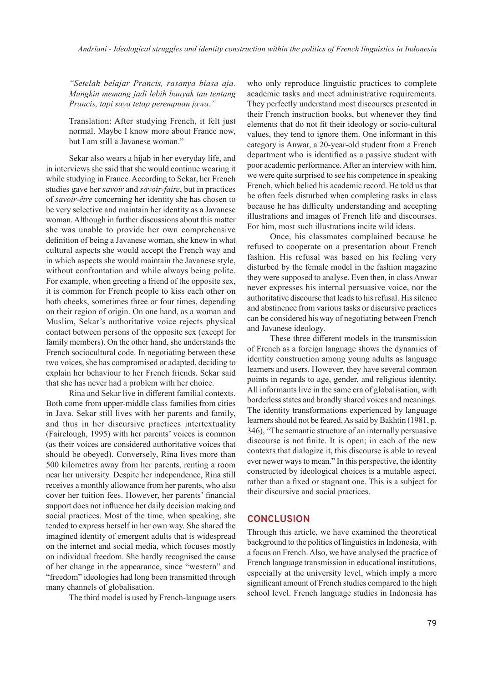*"Setelah belajar Prancis, rasanya biasa aja. Mungkin memang jadi lebih banyak tau tentang Prancis, tapi saya tetap perempuan jawa."* 

Translation: After studying French, it felt just normal. Maybe I know more about France now, but I am still a Javanese woman."

Sekar also wears a hijab in her everyday life, and in interviews she said that she would continue wearing it while studying in France. According to Sekar, her French studies gave her *savoir* and *savoir-faire*, but in practices of *savoir-être* concerning her identity she has chosen to be very selective and maintain her identity as a Javanese woman. Although in further discussions about this matter she was unable to provide her own comprehensive definition of being a Javanese woman, she knew in what cultural aspects she would accept the French way and in which aspects she would maintain the Javanese style, without confrontation and while always being polite. For example, when greeting a friend of the opposite sex, it is common for French people to kiss each other on both cheeks, sometimes three or four times, depending on their region of origin. On one hand, as a woman and Muslim, Sekar's authoritative voice rejects physical contact between persons of the opposite sex (except for family members). On the other hand, she understands the French sociocultural code. In negotiating between these two voices, she has compromised or adapted, deciding to explain her behaviour to her French friends. Sekar said that she has never had a problem with her choice.

Rina and Sekar live in different familial contexts. Both come from upper-middle class families from cities in Java. Sekar still lives with her parents and family, and thus in her discursive practices intertextuality (Fairclough, 1995) with her parents' voices is common (as their voices are considered authoritative voices that should be obeyed). Conversely, Rina lives more than 500 kilometres away from her parents, renting a room near her university. Despite her independence, Rina still receives a monthly allowance from her parents, who also cover her tuition fees. However, her parents' financial support does not influence her daily decision making and social practices. Most of the time, when speaking, she tended to express herself in her own way. She shared the imagined identity of emergent adults that is widespread on the internet and social media, which focuses mostly on individual freedom. She hardly recognised the cause of her change in the appearance, since "western" and "freedom" ideologies had long been transmitted through many channels of globalisation.

The third model is used by French-language users

who only reproduce linguistic practices to complete academic tasks and meet administrative requirements. They perfectly understand most discourses presented in their French instruction books, but whenever they find elements that do not fit their ideology or socio-cultural values, they tend to ignore them. One informant in this category is Anwar, a 20-year-old student from a French department who is identified as a passive student with poor academic performance. After an interview with him, we were quite surprised to see his competence in speaking French, which belied his academic record. He told us that he often feels disturbed when completing tasks in class because he has difficulty understanding and accepting illustrations and images of French life and discourses. For him, most such illustrations incite wild ideas.

Once, his classmates complained because he refused to cooperate on a presentation about French fashion. His refusal was based on his feeling very disturbed by the female model in the fashion magazine they were supposed to analyse. Even then, in class Anwar never expresses his internal persuasive voice, nor the authoritative discourse that leads to his refusal. His silence and abstinence from various tasks or discursive practices can be considered his way of negotiating between French and Javanese ideology.

These three different models in the transmission of French as a foreign language shows the dynamics of identity construction among young adults as language learners and users. However, they have several common points in regards to age, gender, and religious identity. All informants live in the same era of globalisation, with borderless states and broadly shared voices and meanings. The identity transformations experienced by language learners should not be feared. As said by Bakhtin (1981, p. 346), "The semantic structure of an internally persuasive discourse is not finite. It is open; in each of the new contexts that dialogize it, this discourse is able to reveal ever newer ways to mean." In this perspective, the identity constructed by ideological choices is a mutable aspect, rather than a fixed or stagnant one. This is a subject for their discursive and social practices.

#### **CONCLUSION**

Through this article, we have examined the theoretical background to the politics of linguistics in Indonesia, with a focus on French. Also, we have analysed the practice of French language transmission in educational institutions, especially at the university level, which imply a more significant amount of French studies compared to the high school level. French language studies in Indonesia has